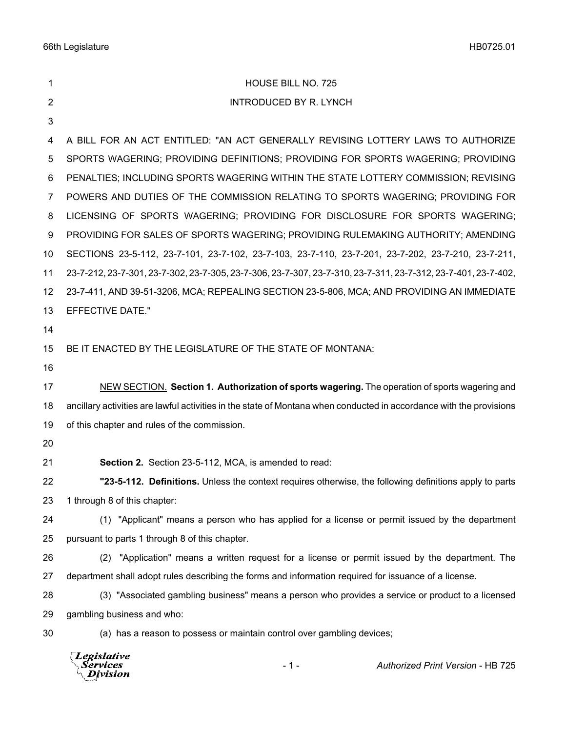| 1              | HOUSE BILL NO. 725                                                                                                  |
|----------------|---------------------------------------------------------------------------------------------------------------------|
| $\overline{2}$ | <b>INTRODUCED BY R. LYNCH</b>                                                                                       |
| 3              |                                                                                                                     |
| 4              | A BILL FOR AN ACT ENTITLED: "AN ACT GENERALLY REVISING LOTTERY LAWS TO AUTHORIZE                                    |
| 5              | SPORTS WAGERING; PROVIDING DEFINITIONS; PROVIDING FOR SPORTS WAGERING; PROVIDING                                    |
| 6              | PENALTIES; INCLUDING SPORTS WAGERING WITHIN THE STATE LOTTERY COMMISSION; REVISING                                  |
| 7              | POWERS AND DUTIES OF THE COMMISSION RELATING TO SPORTS WAGERING; PROVIDING FOR                                      |
| 8              | LICENSING OF SPORTS WAGERING; PROVIDING FOR DISCLOSURE FOR SPORTS WAGERING;                                         |
| 9              | PROVIDING FOR SALES OF SPORTS WAGERING; PROVIDING RULEMAKING AUTHORITY; AMENDING                                    |
| 10             | SECTIONS 23-5-112, 23-7-101, 23-7-102, 23-7-103, 23-7-110, 23-7-201, 23-7-202, 23-7-210, 23-7-211,                  |
| 11             | 23-7-212, 23-7-301, 23-7-302, 23-7-305, 23-7-306, 23-7-307, 23-7-310, 23-7-311, 23-7-312, 23-7-401, 23-7-402,       |
| 12             | 23-7-411, AND 39-51-3206, MCA; REPEALING SECTION 23-5-806, MCA; AND PROVIDING AN IMMEDIATE                          |
| 13             | <b>EFFECTIVE DATE."</b>                                                                                             |
| 14             |                                                                                                                     |
| 15             | BE IT ENACTED BY THE LEGISLATURE OF THE STATE OF MONTANA:                                                           |
| 16             |                                                                                                                     |
| 17             | NEW SECTION. Section 1. Authorization of sports wagering. The operation of sports wagering and                      |
| 18             | ancillary activities are lawful activities in the state of Montana when conducted in accordance with the provisions |
| 19             | of this chapter and rules of the commission.                                                                        |
| 20             |                                                                                                                     |
| 21             | Section 2. Section 23-5-112, MCA, is amended to read:                                                               |
| 22             | "23-5-112. Definitions. Unless the context requires otherwise, the following definitions apply to parts             |
| 23             | 1 through 8 of this chapter:                                                                                        |
| 24             | (1) "Applicant" means a person who has applied for a license or permit issued by the department                     |
| 25             | pursuant to parts 1 through 8 of this chapter.                                                                      |
| 26             | (2) "Application" means a written request for a license or permit issued by the department. The                     |
| 27             | department shall adopt rules describing the forms and information required for issuance of a license.               |
| 28             | (3) "Associated gambling business" means a person who provides a service or product to a licensed                   |
| 29             | gambling business and who:                                                                                          |
| 30             | (a) has a reason to possess or maintain control over gambling devices;                                              |

*Legislative*<br>Services<br>*Division*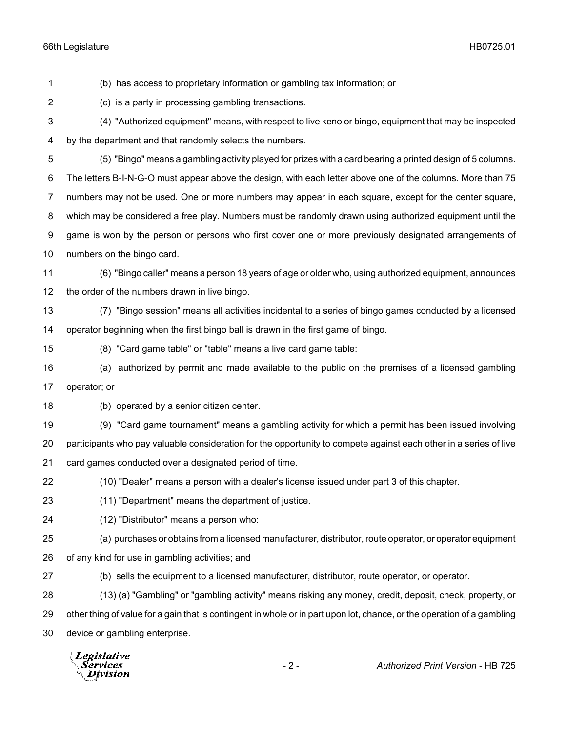(b) has access to proprietary information or gambling tax information; or

(c) is a party in processing gambling transactions.

 (4) "Authorized equipment" means, with respect to live keno or bingo, equipment that may be inspected by the department and that randomly selects the numbers.

(5) "Bingo" means a gambling activity played for prizes with a card bearing a printed design of 5 columns.

 The letters B-I-N-G-O must appear above the design, with each letter above one of the columns. More than 75 numbers may not be used. One or more numbers may appear in each square, except for the center square,

which may be considered a free play. Numbers must be randomly drawn using authorized equipment until the

 game is won by the person or persons who first cover one or more previously designated arrangements of numbers on the bingo card.

 (6) "Bingo caller" means a person 18 years of age or older who, using authorized equipment, announces the order of the numbers drawn in live bingo.

 (7) "Bingo session" means all activities incidental to a series of bingo games conducted by a licensed operator beginning when the first bingo ball is drawn in the first game of bingo.

(8) "Card game table" or "table" means a live card game table:

 (a) authorized by permit and made available to the public on the premises of a licensed gambling operator; or

(b) operated by a senior citizen center.

(9) "Card game tournament" means a gambling activity for which a permit has been issued involving

 participants who pay valuable consideration for the opportunity to compete against each other in a series of live card games conducted over a designated period of time.

(10) "Dealer" means a person with a dealer's license issued under part 3 of this chapter.

- (11) "Department" means the department of justice.
- (12) "Distributor" means a person who:

(a) purchases or obtains from a licensed manufacturer, distributor, route operator, or operator equipment

of any kind for use in gambling activities; and

(b) sells the equipment to a licensed manufacturer, distributor, route operator, or operator.

 (13) (a) "Gambling" or "gambling activity" means risking any money, credit, deposit, check, property, or other thing of value for a gain that is contingent in whole or in part upon lot, chance, or the operation of a gambling device or gambling enterprise.

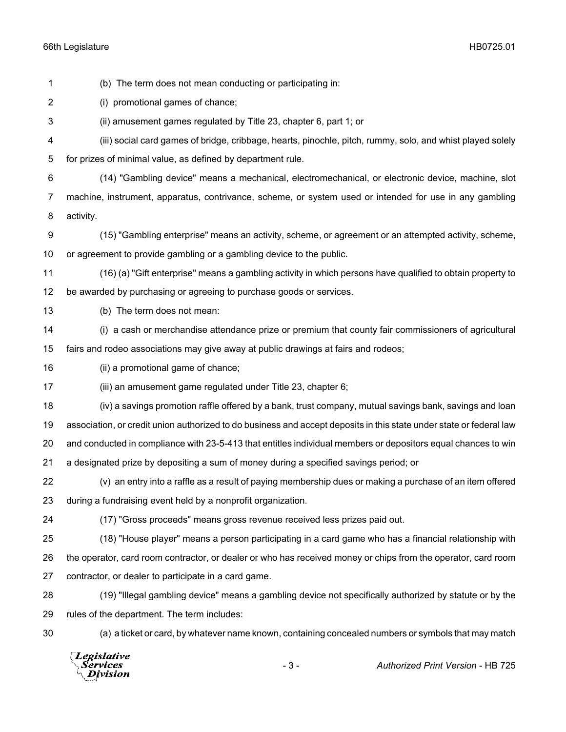(i) promotional games of chance; (ii) amusement games regulated by Title 23, chapter 6, part 1; or (iii) social card games of bridge, cribbage, hearts, pinochle, pitch, rummy, solo, and whist played solely for prizes of minimal value, as defined by department rule. (14) "Gambling device" means a mechanical, electromechanical, or electronic device, machine, slot machine, instrument, apparatus, contrivance, scheme, or system used or intended for use in any gambling activity. (15) "Gambling enterprise" means an activity, scheme, or agreement or an attempted activity, scheme, or agreement to provide gambling or a gambling device to the public. (16) (a) "Gift enterprise" means a gambling activity in which persons have qualified to obtain property to be awarded by purchasing or agreeing to purchase goods or services. (b) The term does not mean: (i) a cash or merchandise attendance prize or premium that county fair commissioners of agricultural fairs and rodeo associations may give away at public drawings at fairs and rodeos; (ii) a promotional game of chance; (iii) an amusement game regulated under Title 23, chapter 6; (iv) a savings promotion raffle offered by a bank, trust company, mutual savings bank, savings and loan association, or credit union authorized to do business and accept deposits in this state under state or federal law and conducted in compliance with 23-5-413 that entitles individual members or depositors equal chances to win a designated prize by depositing a sum of money during a specified savings period; or (v) an entry into a raffle as a result of paying membership dues or making a purchase of an item offered during a fundraising event held by a nonprofit organization. (17) "Gross proceeds" means gross revenue received less prizes paid out. (18) "House player" means a person participating in a card game who has a financial relationship with the operator, card room contractor, or dealer or who has received money or chips from the operator, card room contractor, or dealer to participate in a card game. (19) "Illegal gambling device" means a gambling device not specifically authorized by statute or by the rules of the department. The term includes: (a) a ticket or card, by whatever name known, containing concealed numbers or symbols that may match **Legislative** - 3 - *Authorized Print Version* - HB 725Services **Division** 

(b) The term does not mean conducting or participating in: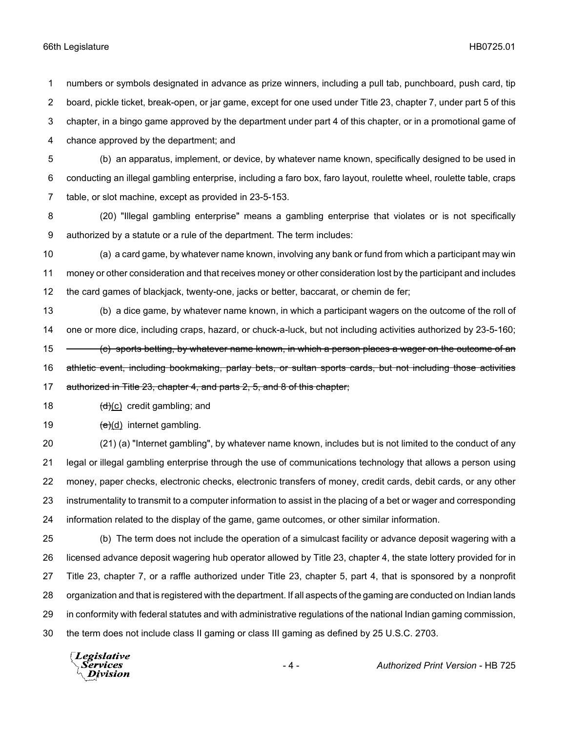numbers or symbols designated in advance as prize winners, including a pull tab, punchboard, push card, tip board, pickle ticket, break-open, or jar game, except for one used under Title 23, chapter 7, under part 5 of this chapter, in a bingo game approved by the department under part 4 of this chapter, or in a promotional game of chance approved by the department; and

 (b) an apparatus, implement, or device, by whatever name known, specifically designed to be used in conducting an illegal gambling enterprise, including a faro box, faro layout, roulette wheel, roulette table, craps table, or slot machine, except as provided in 23-5-153.

 (20) "Illegal gambling enterprise" means a gambling enterprise that violates or is not specifically authorized by a statute or a rule of the department. The term includes:

 (a) a card game, by whatever name known, involving any bank or fund from which a participant may win money or other consideration and that receives money or other consideration lost by the participant and includes the card games of blackjack, twenty-one, jacks or better, baccarat, or chemin de fer;

 (b) a dice game, by whatever name known, in which a participant wagers on the outcome of the roll of one or more dice, including craps, hazard, or chuck-a-luck, but not including activities authorized by 23-5-160; 15 (c) sports betting, by whatever name known, in which a person places a wager on the outcome of an athletic event, including bookmaking, parlay bets, or sultan sports cards, but not including those activities 17 authorized in Title 23, chapter 4, and parts 2, 5, and 8 of this chapter;

18  $(d)(c)$  credit gambling; and

19  $(e)(d)$  internet gambling.

 (21) (a) "Internet gambling", by whatever name known, includes but is not limited to the conduct of any legal or illegal gambling enterprise through the use of communications technology that allows a person using money, paper checks, electronic checks, electronic transfers of money, credit cards, debit cards, or any other instrumentality to transmit to a computer information to assist in the placing of a bet or wager and corresponding information related to the display of the game, game outcomes, or other similar information.

 (b) The term does not include the operation of a simulcast facility or advance deposit wagering with a licensed advance deposit wagering hub operator allowed by Title 23, chapter 4, the state lottery provided for in Title 23, chapter 7, or a raffle authorized under Title 23, chapter 5, part 4, that is sponsored by a nonprofit organization and that is registered with the department. If all aspects of the gaming are conducted on Indian lands in conformity with federal statutes and with administrative regulations of the national Indian gaming commission, the term does not include class II gaming or class III gaming as defined by 25 U.S.C. 2703.

Legislative *Services* **Division**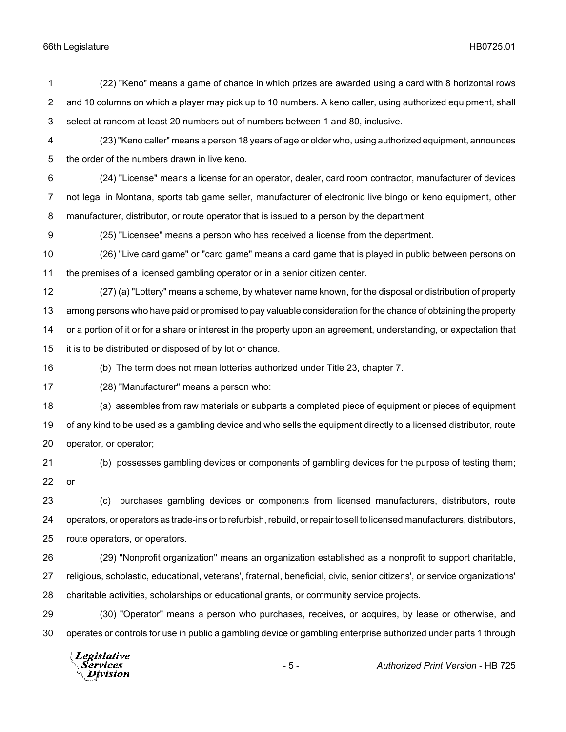(22) "Keno" means a game of chance in which prizes are awarded using a card with 8 horizontal rows and 10 columns on which a player may pick up to 10 numbers. A keno caller, using authorized equipment, shall select at random at least 20 numbers out of numbers between 1 and 80, inclusive. (23) "Keno caller" means a person 18 years of age or older who, using authorized equipment, announces the order of the numbers drawn in live keno. (24) "License" means a license for an operator, dealer, card room contractor, manufacturer of devices not legal in Montana, sports tab game seller, manufacturer of electronic live bingo or keno equipment, other manufacturer, distributor, or route operator that is issued to a person by the department. (25) "Licensee" means a person who has received a license from the department. (26) "Live card game" or "card game" means a card game that is played in public between persons on the premises of a licensed gambling operator or in a senior citizen center. (27) (a) "Lottery" means a scheme, by whatever name known, for the disposal or distribution of property among persons who have paid or promised to pay valuable consideration for the chance of obtaining the property

 or a portion of it or for a share or interest in the property upon an agreement, understanding, or expectation that it is to be distributed or disposed of by lot or chance.

(b) The term does not mean lotteries authorized under Title 23, chapter 7.

(28) "Manufacturer" means a person who:

 (a) assembles from raw materials or subparts a completed piece of equipment or pieces of equipment of any kind to be used as a gambling device and who sells the equipment directly to a licensed distributor, route operator, or operator;

 (b) possesses gambling devices or components of gambling devices for the purpose of testing them; or

 (c) purchases gambling devices or components from licensed manufacturers, distributors, route operators, or operators as trade-ins or to refurbish, rebuild, or repair to sell to licensed manufacturers, distributors, route operators, or operators.

 (29) "Nonprofit organization" means an organization established as a nonprofit to support charitable, religious, scholastic, educational, veterans', fraternal, beneficial, civic, senior citizens', or service organizations' charitable activities, scholarships or educational grants, or community service projects.

 (30) "Operator" means a person who purchases, receives, or acquires, by lease or otherwise, and operates or controls for use in public a gambling device or gambling enterprise authorized under parts 1 through

Legislative Services Division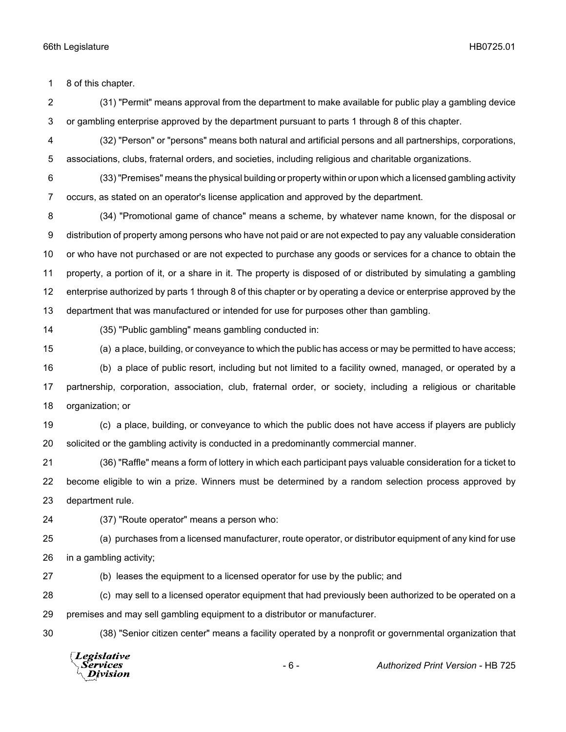8 of this chapter.

 (31) "Permit" means approval from the department to make available for public play a gambling device or gambling enterprise approved by the department pursuant to parts 1 through 8 of this chapter.

 (32) "Person" or "persons" means both natural and artificial persons and all partnerships, corporations, associations, clubs, fraternal orders, and societies, including religious and charitable organizations.

 (33) "Premises" means the physical building or property within or upon which a licensed gambling activity occurs, as stated on an operator's license application and approved by the department.

 (34) "Promotional game of chance" means a scheme, by whatever name known, for the disposal or distribution of property among persons who have not paid or are not expected to pay any valuable consideration or who have not purchased or are not expected to purchase any goods or services for a chance to obtain the property, a portion of it, or a share in it. The property is disposed of or distributed by simulating a gambling enterprise authorized by parts 1 through 8 of this chapter or by operating a device or enterprise approved by the department that was manufactured or intended for use for purposes other than gambling.

(35) "Public gambling" means gambling conducted in:

(a) a place, building, or conveyance to which the public has access or may be permitted to have access;

 (b) a place of public resort, including but not limited to a facility owned, managed, or operated by a partnership, corporation, association, club, fraternal order, or society, including a religious or charitable organization; or

 (c) a place, building, or conveyance to which the public does not have access if players are publicly solicited or the gambling activity is conducted in a predominantly commercial manner.

 (36) "Raffle" means a form of lottery in which each participant pays valuable consideration for a ticket to become eligible to win a prize. Winners must be determined by a random selection process approved by department rule.

(37) "Route operator" means a person who:

 (a) purchases from a licensed manufacturer, route operator, or distributor equipment of any kind for use in a gambling activity;

(b) leases the equipment to a licensed operator for use by the public; and

 (c) may sell to a licensed operator equipment that had previously been authorized to be operated on a premises and may sell gambling equipment to a distributor or manufacturer.

(38) "Senior citizen center" means a facility operated by a nonprofit or governmental organization that

Legislative *Services* **Division** 

- 6 - *Authorized Print Version* - HB 725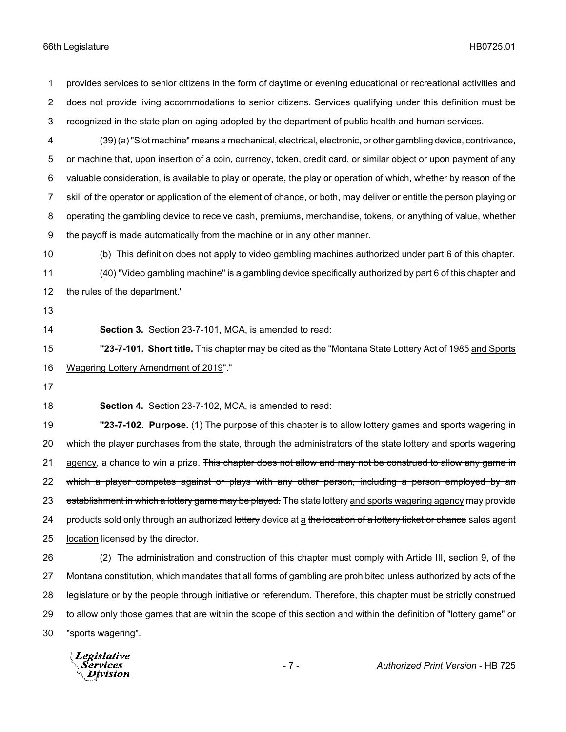provides services to senior citizens in the form of daytime or evening educational or recreational activities and does not provide living accommodations to senior citizens. Services qualifying under this definition must be recognized in the state plan on aging adopted by the department of public health and human services.

 (39) (a) "Slot machine" means a mechanical, electrical, electronic, or other gambling device, contrivance, or machine that, upon insertion of a coin, currency, token, credit card, or similar object or upon payment of any valuable consideration, is available to play or operate, the play or operation of which, whether by reason of the skill of the operator or application of the element of chance, or both, may deliver or entitle the person playing or operating the gambling device to receive cash, premiums, merchandise, tokens, or anything of value, whether the payoff is made automatically from the machine or in any other manner.

 (b) This definition does not apply to video gambling machines authorized under part 6 of this chapter. (40) "Video gambling machine" is a gambling device specifically authorized by part 6 of this chapter and

the rules of the department."

- 
- 

**Section 3.** Section 23-7-101, MCA, is amended to read:

 **"23-7-101. Short title.** This chapter may be cited as the "Montana State Lottery Act of 1985 and Sports Wagering Lottery Amendment of 2019"."

**Section 4.** Section 23-7-102, MCA, is amended to read:

 **"23-7-102. Purpose.** (1) The purpose of this chapter is to allow lottery games and sports wagering in which the player purchases from the state, through the administrators of the state lottery and sports wagering 21 agency, a chance to win a prize. This chapter does not allow and may not be construed to allow any game in 22 which a player competes against or plays with any other person, including a person employed by an 23 establishment in which a lottery game may be played. The state lottery and sports wagering agency may provide 24 products sold only through an authorized lottery device at a the location of a lottery ticket or chance sales agent location licensed by the director.

 (2) The administration and construction of this chapter must comply with Article III, section 9, of the Montana constitution, which mandates that all forms of gambling are prohibited unless authorized by acts of the legislature or by the people through initiative or referendum. Therefore, this chapter must be strictly construed 29 to allow only those games that are within the scope of this section and within the definition of "lottery game" or "sports wagering".

Legislative Services Division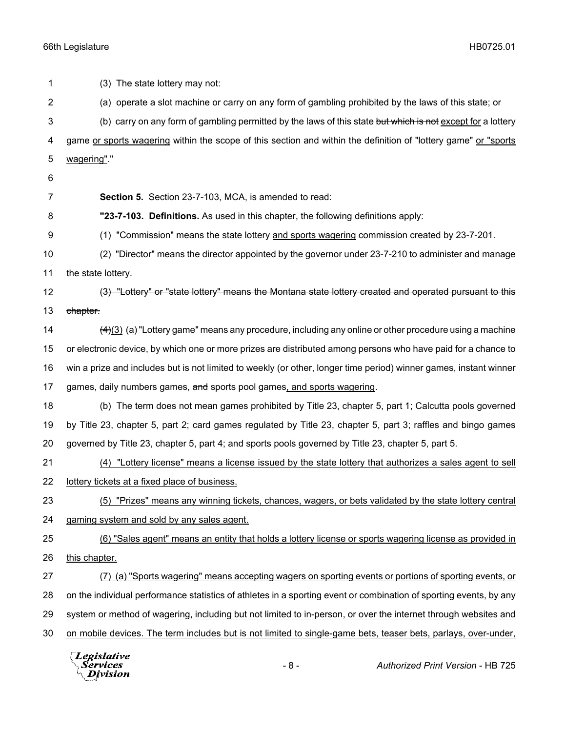(3) The state lottery may not: (a) operate a slot machine or carry on any form of gambling prohibited by the laws of this state; or 3 (b) carry on any form of gambling permitted by the laws of this state but which is not except for a lottery game or sports wagering within the scope of this section and within the definition of "lottery game" or "sports wagering"." **Section 5.** Section 23-7-103, MCA, is amended to read: **"23-7-103. Definitions.** As used in this chapter, the following definitions apply: (1) "Commission" means the state lottery and sports wagering commission created by 23-7-201. (2) "Director" means the director appointed by the governor under 23-7-210 to administer and manage the state lottery. 12 (3) "Lottery" or "state lottery" means the Montana state lottery created and operated pursuant to this 13 chapter.  $\frac{(4)(3)}{(4)}$  (a) "Lottery game" means any procedure, including any online or other procedure using a machine or electronic device, by which one or more prizes are distributed among persons who have paid for a chance to win a prize and includes but is not limited to weekly (or other, longer time period) winner games, instant winner 17 games, daily numbers games, and sports pool games, and sports wagering. (b) The term does not mean games prohibited by Title 23, chapter 5, part 1; Calcutta pools governed by Title 23, chapter 5, part 2; card games regulated by Title 23, chapter 5, part 3; raffles and bingo games governed by Title 23, chapter 5, part 4; and sports pools governed by Title 23, chapter 5, part 5. (4) "Lottery license" means a license issued by the state lottery that authorizes a sales agent to sell lottery tickets at a fixed place of business. (5) "Prizes" means any winning tickets, chances, wagers, or bets validated by the state lottery central gaming system and sold by any sales agent. (6) "Sales agent" means an entity that holds a lottery license or sports wagering license as provided in this chapter. (7) (a) "Sports wagering" means accepting wagers on sporting events or portions of sporting events, or on the individual performance statistics of athletes in a sporting event or combination of sporting events, by any system or method of wagering, including but not limited to in-person, or over the internet through websites and on mobile devices. The term includes but is not limited to single-game bets, teaser bets, parlays, over-under,

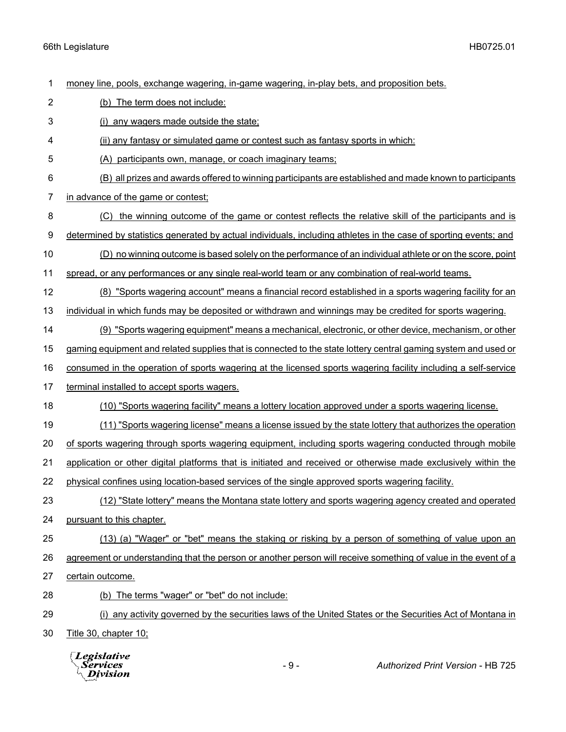money line, pools, exchange wagering, in-game wagering, in-play bets, and proposition bets.

- (b) The term does not include:
- (i) any wagers made outside the state;

(ii) any fantasy or simulated game or contest such as fantasy sports in which:

- (A) participants own, manage, or coach imaginary teams;
- (B) all prizes and awards offered to winning participants are established and made known to participants
- in advance of the game or contest;
- (C) the winning outcome of the game or contest reflects the relative skill of the participants and is
- determined by statistics generated by actual individuals, including athletes in the case of sporting events; and
- (D) no winning outcome is based solely on the performance of an individual athlete or on the score, point
- spread, or any performances or any single real-world team or any combination of real-world teams.
- (8) "Sports wagering account" means a financial record established in a sports wagering facility for an individual in which funds may be deposited or withdrawn and winnings may be credited for sports wagering.
- (9) "Sports wagering equipment" means a mechanical, electronic, or other device, mechanism, or other
- gaming equipment and related supplies that is connected to the state lottery central gaming system and used or
- consumed in the operation of sports wagering at the licensed sports wagering facility including a self-service
- terminal installed to accept sports wagers.
- (10) "Sports wagering facility" means a lottery location approved under a sports wagering license.
- (11) "Sports wagering license" means a license issued by the state lottery that authorizes the operation
- of sports wagering through sports wagering equipment, including sports wagering conducted through mobile
- application or other digital platforms that is initiated and received or otherwise made exclusively within the
- physical confines using location-based services of the single approved sports wagering facility.
- (12) "State lottery" means the Montana state lottery and sports wagering agency created and operated pursuant to this chapter.
- (13) (a) "Wager" or "bet" means the staking or risking by a person of something of value upon an
- agreement or understanding that the person or another person will receive something of value in the event of a
- certain outcome.
- (b) The terms "wager" or "bet" do not include:
- (i) any activity governed by the securities laws of the United States or the Securities Act of Montana in
- Title 30, chapter 10;

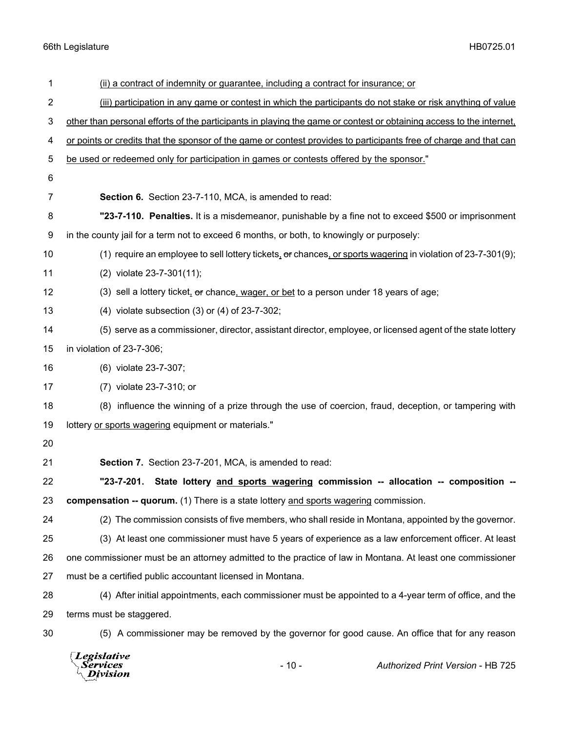| 1  | (ii) a contract of indemnity or guarantee, including a contract for insurance; or                                   |
|----|---------------------------------------------------------------------------------------------------------------------|
| 2  | (iii) participation in any game or contest in which the participants do not stake or risk anything of value         |
| 3  | other than personal efforts of the participants in playing the game or contest or obtaining access to the internet, |
| 4  | or points or credits that the sponsor of the game or contest provides to participants free of charge and that can   |
| 5  | be used or redeemed only for participation in games or contests offered by the sponsor."                            |
| 6  |                                                                                                                     |
| 7  | Section 6. Section 23-7-110, MCA, is amended to read:                                                               |
| 8  | "23-7-110. Penalties. It is a misdemeanor, punishable by a fine not to exceed \$500 or imprisonment                 |
| 9  | in the county jail for a term not to exceed 6 months, or both, to knowingly or purposely:                           |
| 10 | (1) require an employee to sell lottery tickets, or chances, or sports wagering in violation of 23-7-301(9);        |
| 11 | (2) violate 23-7-301(11);                                                                                           |
| 12 | (3) sell a lottery ticket, or chance, wager, or bet to a person under 18 years of age;                              |
| 13 | $(4)$ violate subsection $(3)$ or $(4)$ of 23-7-302;                                                                |
| 14 | (5) serve as a commissioner, director, assistant director, employee, or licensed agent of the state lottery         |
| 15 | in violation of 23-7-306;                                                                                           |
| 16 | (6) violate 23-7-307;                                                                                               |
| 17 | (7) violate 23-7-310; or                                                                                            |
| 18 | (8) influence the winning of a prize through the use of coercion, fraud, deception, or tampering with               |
| 19 | lottery or sports wagering equipment or materials."                                                                 |
| 20 |                                                                                                                     |
| 21 | Section 7. Section 23-7-201, MCA, is amended to read:                                                               |
| 22 | State lottery and sports wagering commission -- allocation -- composition --<br>"23-7-201.                          |
| 23 | compensation -- quorum. (1) There is a state lottery and sports wagering commission.                                |
| 24 | (2) The commission consists of five members, who shall reside in Montana, appointed by the governor.                |
| 25 | (3) At least one commissioner must have 5 years of experience as a law enforcement officer. At least                |
| 26 | one commissioner must be an attorney admitted to the practice of law in Montana. At least one commissioner          |
| 27 | must be a certified public accountant licensed in Montana.                                                          |
| 28 | (4) After initial appointments, each commissioner must be appointed to a 4-year term of office, and the             |
| 29 | terms must be staggered.                                                                                            |
| 30 | (5) A commissioner may be removed by the governor for good cause. An office that for any reason                     |
|    |                                                                                                                     |

- 10 - *Authorized Print Version* - HB 725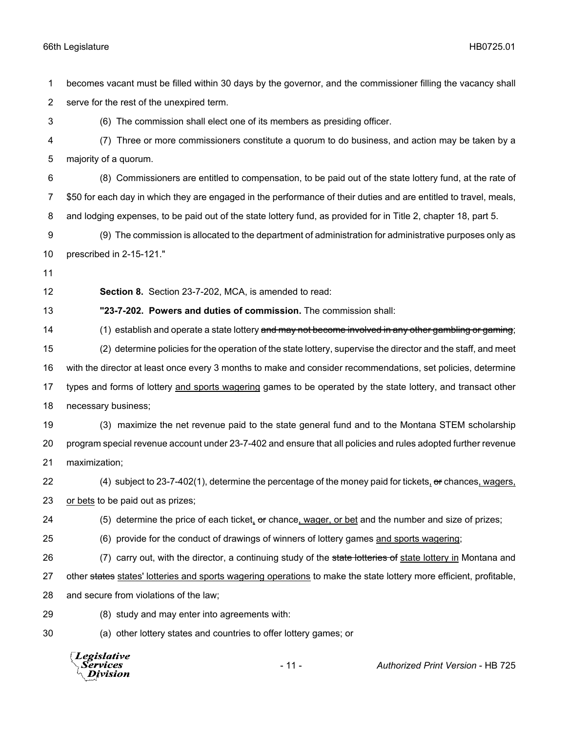becomes vacant must be filled within 30 days by the governor, and the commissioner filling the vacancy shall serve for the rest of the unexpired term.

(6) The commission shall elect one of its members as presiding officer.

 (7) Three or more commissioners constitute a quorum to do business, and action may be taken by a majority of a quorum.

 (8) Commissioners are entitled to compensation, to be paid out of the state lottery fund, at the rate of \$50 for each day in which they are engaged in the performance of their duties and are entitled to travel, meals, and lodging expenses, to be paid out of the state lottery fund, as provided for in Title 2, chapter 18, part 5.

 (9) The commission is allocated to the department of administration for administrative purposes only as prescribed in 2-15-121."

**Section 8.** Section 23-7-202, MCA, is amended to read:

**"23-7-202. Powers and duties of commission.** The commission shall:

14 (1) establish and operate a state lottery and may not become involved in any other gambling or gaming; (2) determine policies for the operation of the state lottery, supervise the director and the staff, and meet with the director at least once every 3 months to make and consider recommendations, set policies, determine types and forms of lottery and sports wagering games to be operated by the state lottery, and transact other necessary business;

 (3) maximize the net revenue paid to the state general fund and to the Montana STEM scholarship program special revenue account under 23-7-402 and ensure that all policies and rules adopted further revenue maximization;

22 (4) subject to 23-7-402(1), determine the percentage of the money paid for tickets, or chances, wagers, or bets to be paid out as prizes;

(5) determine the price of each ticket, or chance, wager, or bet and the number and size of prizes;

(6) provide for the conduct of drawings of winners of lottery games and sports wagering;

26 (7) carry out, with the director, a continuing study of the state lotteries of state lottery in Montana and 27 other states states' lotteries and sports wagering operations to make the state lottery more efficient, profitable,

and secure from violations of the law;

(8) study and may enter into agreements with:

(a) other lottery states and countries to offer lottery games; or

**Legislative** Services **Division** 

- 11 - *Authorized Print Version* - HB 725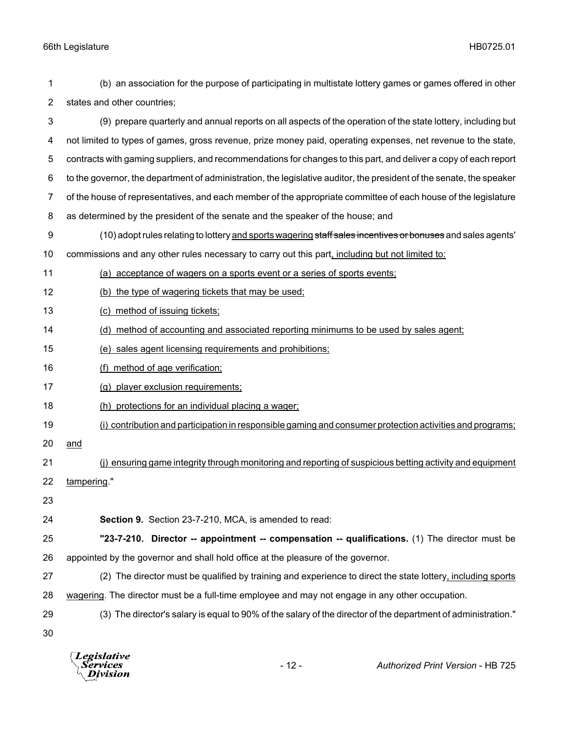states and other countries; (9) prepare quarterly and annual reports on all aspects of the operation of the state lottery, including but not limited to types of games, gross revenue, prize money paid, operating expenses, net revenue to the state, contracts with gaming suppliers, and recommendations for changes to this part, and deliver a copy of each report to the governor, the department of administration, the legislative auditor, the president of the senate, the speaker of the house of representatives, and each member of the appropriate committee of each house of the legislature as determined by the president of the senate and the speaker of the house; and 9 (10) adopt rules relating to lottery and sports wagering staff sales incentives or bonuses and sales agents' 10 commissions and any other rules necessary to carry out this part, including but not limited to: (a) acceptance of wagers on a sports event or a series of sports events; (b) the type of wagering tickets that may be used; (c) method of issuing tickets; 14 (d) method of accounting and associated reporting minimums to be used by sales agent; (e) sales agent licensing requirements and prohibitions; (f) method of age verification; (g) player exclusion requirements; (h) protections for an individual placing a wager; (i) contribution and participation in responsible gaming and consumer protection activities and programs; and (j) ensuring game integrity through monitoring and reporting of suspicious betting activity and equipment tampering." **Section 9.** Section 23-7-210, MCA, is amended to read: **"23-7-210. Director -- appointment -- compensation -- qualifications.** (1) The director must be appointed by the governor and shall hold office at the pleasure of the governor. (2) The director must be qualified by training and experience to direct the state lottery, including sports wagering. The director must be a full-time employee and may not engage in any other occupation. (3) The director's salary is equal to 90% of the salary of the director of the department of administration." 

(b) an association for the purpose of participating in multistate lottery games or games offered in other

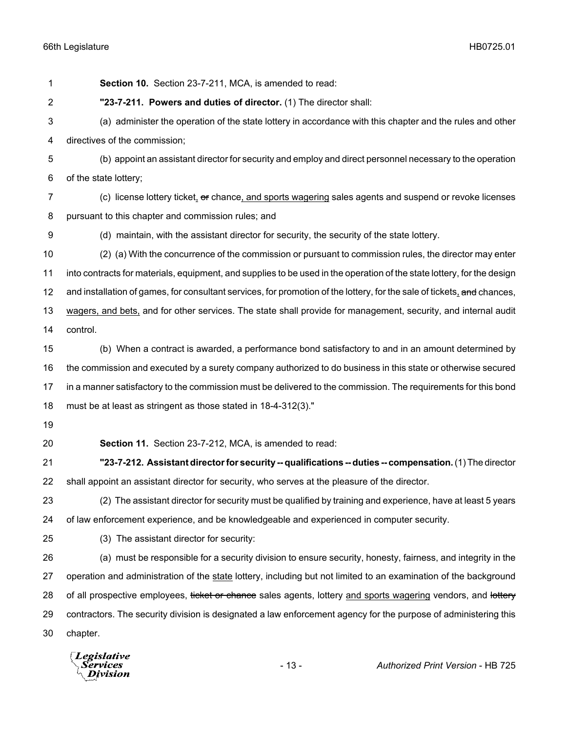**Section 10.** Section 23-7-211, MCA, is amended to read: **"23-7-211. Powers and duties of director.** (1) The director shall: (a) administer the operation of the state lottery in accordance with this chapter and the rules and other directives of the commission; (b) appoint an assistant director for security and employ and direct personnel necessary to the operation of the state lottery; 7 (c) license lottery ticket, or chance, and sports wagering sales agents and suspend or revoke licenses pursuant to this chapter and commission rules; and (d) maintain, with the assistant director for security, the security of the state lottery. (2) (a) With the concurrence of the commission or pursuant to commission rules, the director may enter into contracts for materials, equipment, and supplies to be used in the operation of the state lottery, for the design 12 and installation of games, for consultant services, for promotion of the lottery, for the sale of tickets, and chances, wagers, and bets, and for other services. The state shall provide for management, security, and internal audit control. (b) When a contract is awarded, a performance bond satisfactory to and in an amount determined by the commission and executed by a surety company authorized to do business in this state or otherwise secured in a manner satisfactory to the commission must be delivered to the commission. The requirements for this bond must be at least as stringent as those stated in 18-4-312(3)." **Section 11.** Section 23-7-212, MCA, is amended to read: **"23-7-212. Assistant director for security -- qualifications -- duties -- compensation.** (1) The director shall appoint an assistant director for security, who serves at the pleasure of the director. (2) The assistant director for security must be qualified by training and experience, have at least 5 years of law enforcement experience, and be knowledgeable and experienced in computer security. (3) The assistant director for security: (a) must be responsible for a security division to ensure security, honesty, fairness, and integrity in the 27 operation and administration of the state lottery, including but not limited to an examination of the background 28 of all prospective employees, ticket or chance sales agents, lottery and sports wagering vendors, and lottery contractors. The security division is designated a law enforcement agency for the purpose of administering this chapter.

**Legislative** 'ervices Division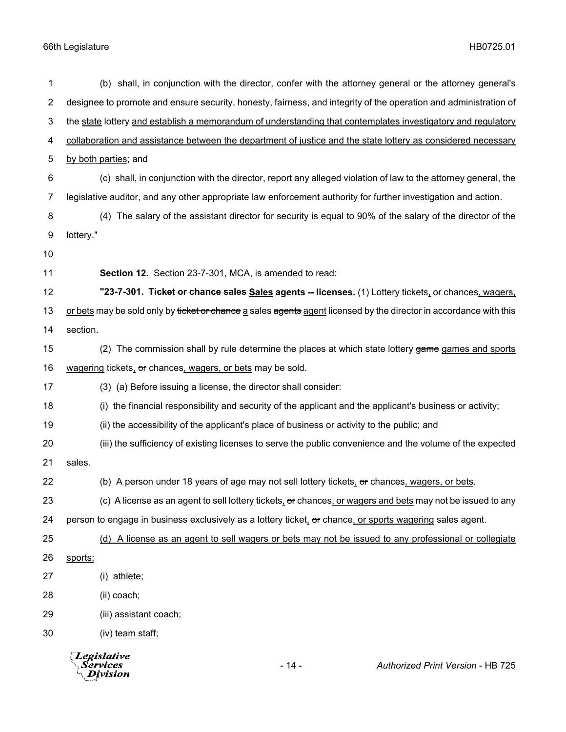| 1              | (b) shall, in conjunction with the director, confer with the attorney general or the attorney general's            |
|----------------|--------------------------------------------------------------------------------------------------------------------|
| $\overline{2}$ | designee to promote and ensure security, honesty, fairness, and integrity of the operation and administration of   |
| 3              | the state lottery and establish a memorandum of understanding that contemplates investigatory and regulatory       |
| 4              | collaboration and assistance between the department of justice and the state lottery as considered necessary       |
| 5              | by both parties; and                                                                                               |
| 6              | (c) shall, in conjunction with the director, report any alleged violation of law to the attorney general, the      |
| 7              | legislative auditor, and any other appropriate law enforcement authority for further investigation and action.     |
| 8              | (4) The salary of the assistant director for security is equal to 90% of the salary of the director of the         |
| 9              | lottery."                                                                                                          |
| 10             |                                                                                                                    |
| 11             | Section 12. Section 23-7-301, MCA, is amended to read:                                                             |
| 12             | "23-7-301. Ticket or chance sales Sales agents -- licenses. (1) Lottery tickets, or chances, wagers,               |
| 13             | or bets may be sold only by ticket or chance a sales agents agent licensed by the director in accordance with this |
| 14             | section.                                                                                                           |
| 15             | (2) The commission shall by rule determine the places at which state lottery game games and sports                 |
| 16             | wagering tickets, or chances, wagers, or bets may be sold.                                                         |
| 17             | (3) (a) Before issuing a license, the director shall consider:                                                     |
| 18             | (i) the financial responsibility and security of the applicant and the applicant's business or activity;           |
| 19             | (ii) the accessibility of the applicant's place of business or activity to the public; and                         |
| 20             | (iii) the sufficiency of existing licenses to serve the public convenience and the volume of the expected          |
| 21             | sales.                                                                                                             |
| 22             | (b) A person under 18 years of age may not sell lottery tickets, or chances, wagers, or bets.                      |
| 23             | (c) A license as an agent to sell lottery tickets, or chances, or wagers and bets may not be issued to any         |
| 24             | person to engage in business exclusively as a lottery ticket, or chance, or sports wagering sales agent.           |
| 25             | (d) A license as an agent to sell wagers or bets may not be issued to any professional or collegiate               |
| 26             | sports:                                                                                                            |
| 27             | (i) athlete;                                                                                                       |
| 28             | (ii) coach;                                                                                                        |
| 29             | (iii) assistant coach;                                                                                             |
| 30             | (iv) team staff;                                                                                                   |
|                | Legislative<br>$-14-$<br>Authorized Print Version - HB 725<br>Services<br>Division                                 |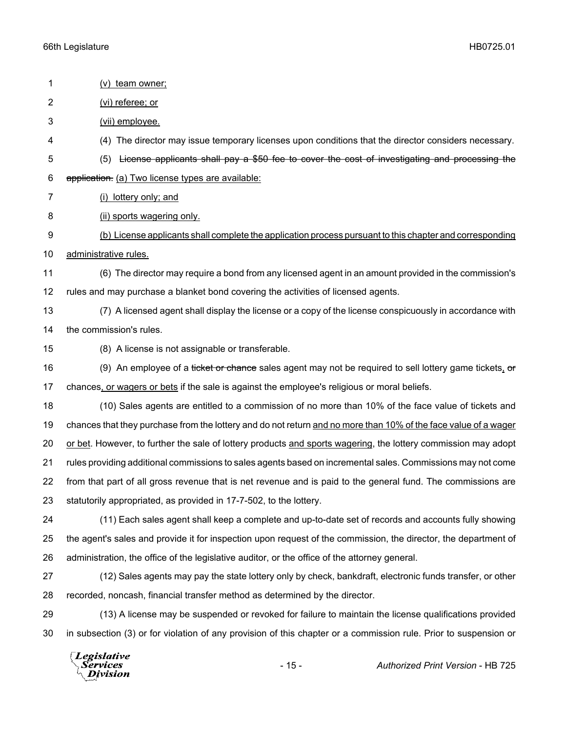| 1              | (v) team owner;                                                                                                  |
|----------------|------------------------------------------------------------------------------------------------------------------|
| $\overline{2}$ | (vi) referee; or                                                                                                 |
| 3              | (vii) employee.                                                                                                  |
| 4              | (4) The director may issue temporary licenses upon conditions that the director considers necessary.             |
| 5              | License applicants shall pay a \$50 fee to cover the cost of investigating and processing the<br>(5)             |
| $\,6$          | application. (a) Two license types are available:                                                                |
| 7              | (i) lottery only; and                                                                                            |
| 8              | (ii) sports wagering only.                                                                                       |
| 9              | (b) License applicants shall complete the application process pursuant to this chapter and corresponding         |
| 10             | administrative rules.                                                                                            |
| 11             | (6) The director may require a bond from any licensed agent in an amount provided in the commission's            |
| 12             | rules and may purchase a blanket bond covering the activities of licensed agents.                                |
| 13             | (7) A licensed agent shall display the license or a copy of the license conspicuously in accordance with         |
| 14             | the commission's rules.                                                                                          |
| 15             | (8) A license is not assignable or transferable.                                                                 |
| 16             | (9) An employee of a ticket or chance sales agent may not be required to sell lottery game tickets, or           |
| 17             | chances, or wagers or bets if the sale is against the employee's religious or moral beliefs.                     |
| 18             | (10) Sales agents are entitled to a commission of no more than 10% of the face value of tickets and              |
| 19             | chances that they purchase from the lottery and do not return and no more than 10% of the face value of a wager  |
| 20             | or bet. However, to further the sale of lottery products and sports wagering, the lottery commission may adopt   |
| 21             | rules providing additional commissions to sales agents based on incremental sales. Commissions may not come      |
| 22             | from that part of all gross revenue that is net revenue and is paid to the general fund. The commissions are     |
| 23             | statutorily appropriated, as provided in 17-7-502, to the lottery.                                               |
| 24             | (11) Each sales agent shall keep a complete and up-to-date set of records and accounts fully showing             |
| 25             | the agent's sales and provide it for inspection upon request of the commission, the director, the department of  |
| 26             | administration, the office of the legislative auditor, or the office of the attorney general.                    |
| 27             | (12) Sales agents may pay the state lottery only by check, bankdraft, electronic funds transfer, or other        |
| 28             | recorded, noncash, financial transfer method as determined by the director.                                      |
| 29             | (13) A license may be suspended or revoked for failure to maintain the license qualifications provided           |
| 30             | in subsection (3) or for violation of any provision of this chapter or a commission rule. Prior to suspension or |
|                | Legislative<br>$-15-$<br>Authorized Print Version - HB 725<br>Services<br>Division                               |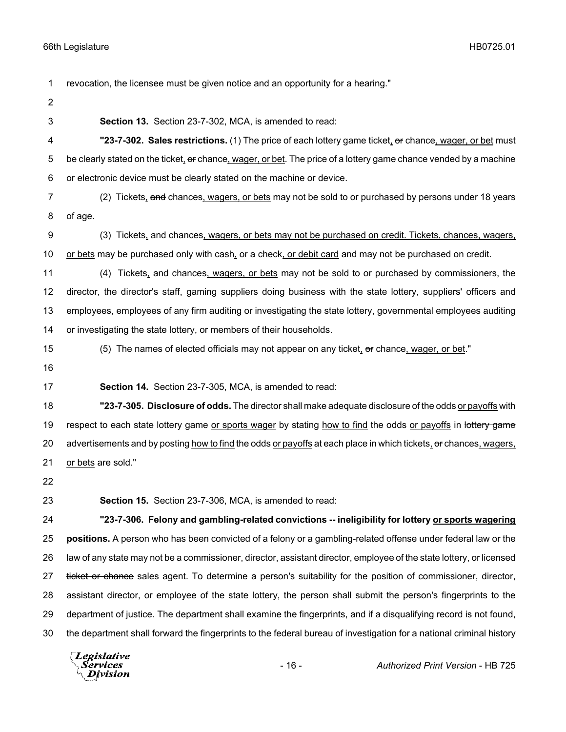revocation, the licensee must be given notice and an opportunity for a hearing."

- 
- 

**Section 13.** Section 23-7-302, MCA, is amended to read:

 **"23-7-302. Sales restrictions.** (1) The price of each lottery game ticket, or chance, wager, or bet must 5 be clearly stated on the ticket, or chance, wager, or bet. The price of a lottery game chance vended by a machine or electronic device must be clearly stated on the machine or device.

7 (2) Tickets, and chances, wagers, or bets may not be sold to or purchased by persons under 18 years of age.

9 (3) Tickets, and chances, wagers, or bets may not be purchased on credit. Tickets, chances, wagers, 10 or bets may be purchased only with cash, or a check, or debit card and may not be purchased on credit.

- 11 (4) Tickets, and chances, wagers, or bets may not be sold to or purchased by commissioners, the director, the director's staff, gaming suppliers doing business with the state lottery, suppliers' officers and employees, employees of any firm auditing or investigating the state lottery, governmental employees auditing
- or investigating the state lottery, or members of their households.
- 15 (5) The names of elected officials may not appear on any ticket, or chance, wager, or bet."
- 

**Section 14.** Section 23-7-305, MCA, is amended to read:

 **"23-7-305. Disclosure of odds.** The director shall make adequate disclosure of the odds or payoffs with 19 respect to each state lottery game or sports wager by stating how to find the odds or payoffs in lottery game 20 advertisements and by posting how to find the odds or payoffs at each place in which tickets, or chances, wagers, 21 or bets are sold."

**Section 15.** Section 23-7-306, MCA, is amended to read:

 **"23-7-306. Felony and gambling-related convictions -- ineligibility for lottery or sports wagering positions.** A person who has been convicted of a felony or a gambling-related offense under federal law or the law of any state may not be a commissioner, director, assistant director, employee of the state lottery, or licensed 27 ticket or chance sales agent. To determine a person's suitability for the position of commissioner, director, assistant director, or employee of the state lottery, the person shall submit the person's fingerprints to the department of justice. The department shall examine the fingerprints, and if a disqualifying record is not found, the department shall forward the fingerprints to the federal bureau of investigation for a national criminal history

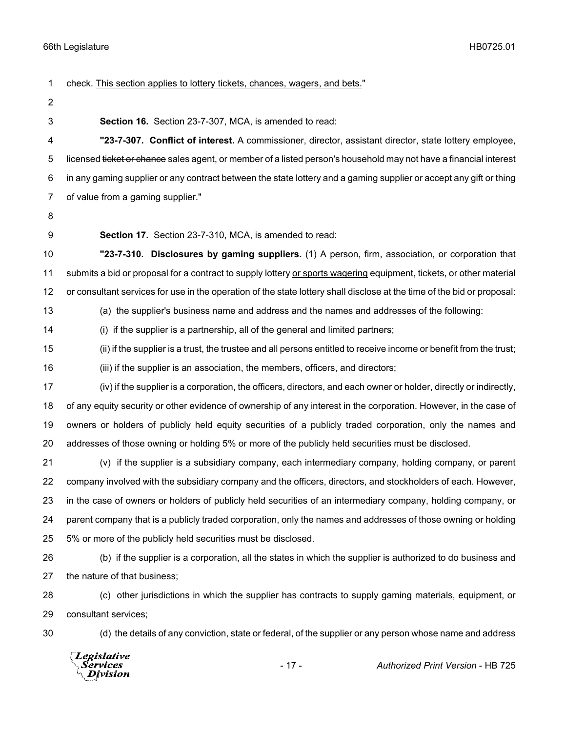Services **Division** 

 check. This section applies to lottery tickets, chances, wagers, and bets." **Section 16.** Section 23-7-307, MCA, is amended to read: **"23-7-307. Conflict of interest.** A commissioner, director, assistant director, state lottery employee, 5 licensed ticket or chance sales agent, or member of a listed person's household may not have a financial interest in any gaming supplier or any contract between the state lottery and a gaming supplier or accept any gift or thing of value from a gaming supplier." **Section 17.** Section 23-7-310, MCA, is amended to read: **"23-7-310. Disclosures by gaming suppliers.** (1) A person, firm, association, or corporation that submits a bid or proposal for a contract to supply lottery or sports wagering equipment, tickets, or other material or consultant services for use in the operation of the state lottery shall disclose at the time of the bid or proposal: (a) the supplier's business name and address and the names and addresses of the following: (i) if the supplier is a partnership, all of the general and limited partners; (ii) if the supplier is a trust, the trustee and all persons entitled to receive income or benefit from the trust; (iii) if the supplier is an association, the members, officers, and directors; (iv) if the supplier is a corporation, the officers, directors, and each owner or holder, directly or indirectly, of any equity security or other evidence of ownership of any interest in the corporation. However, in the case of owners or holders of publicly held equity securities of a publicly traded corporation, only the names and addresses of those owning or holding 5% or more of the publicly held securities must be disclosed. (v) if the supplier is a subsidiary company, each intermediary company, holding company, or parent company involved with the subsidiary company and the officers, directors, and stockholders of each. However, in the case of owners or holders of publicly held securities of an intermediary company, holding company, or parent company that is a publicly traded corporation, only the names and addresses of those owning or holding 5% or more of the publicly held securities must be disclosed. (b) if the supplier is a corporation, all the states in which the supplier is authorized to do business and the nature of that business; (c) other jurisdictions in which the supplier has contracts to supply gaming materials, equipment, or consultant services; (d) the details of any conviction, state or federal, of the supplier or any person whose name and address **Legislative** 

- 17 - *Authorized Print Version* - HB 725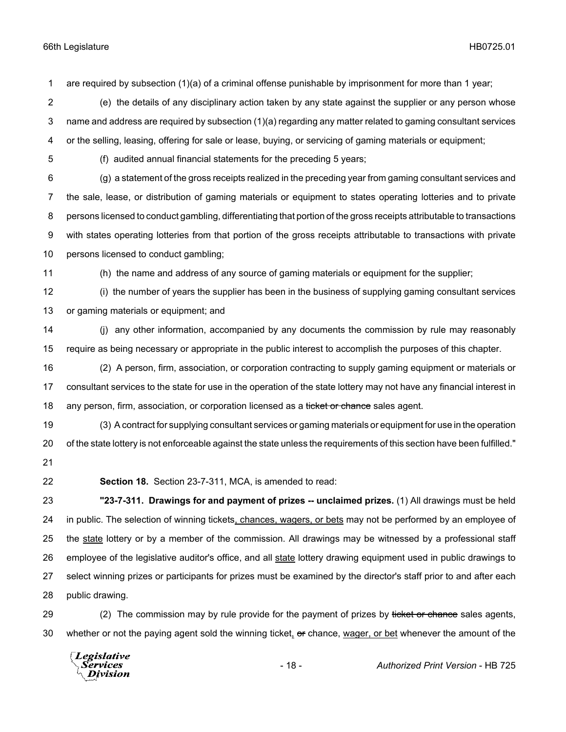are required by subsection (1)(a) of a criminal offense punishable by imprisonment for more than 1 year;

 (e) the details of any disciplinary action taken by any state against the supplier or any person whose name and address are required by subsection (1)(a) regarding any matter related to gaming consultant services or the selling, leasing, offering for sale or lease, buying, or servicing of gaming materials or equipment;

(f) audited annual financial statements for the preceding 5 years;

 (g) a statement of the gross receipts realized in the preceding year from gaming consultant services and the sale, lease, or distribution of gaming materials or equipment to states operating lotteries and to private persons licensed to conduct gambling, differentiating that portion of the gross receipts attributable to transactions with states operating lotteries from that portion of the gross receipts attributable to transactions with private persons licensed to conduct gambling;

(h) the name and address of any source of gaming materials or equipment for the supplier;

 (i) the number of years the supplier has been in the business of supplying gaming consultant services or gaming materials or equipment; and

 (j) any other information, accompanied by any documents the commission by rule may reasonably require as being necessary or appropriate in the public interest to accomplish the purposes of this chapter.

 (2) A person, firm, association, or corporation contracting to supply gaming equipment or materials or consultant services to the state for use in the operation of the state lottery may not have any financial interest in 18 any person, firm, association, or corporation licensed as a ticket or chance sales agent.

 (3) A contract for supplying consultant services or gaming materials or equipment for use in the operation of the state lottery is not enforceable against the state unless the requirements of this section have been fulfilled." 

- 
- 

**Section 18.** Section 23-7-311, MCA, is amended to read:

 **"23-7-311. Drawings for and payment of prizes -- unclaimed prizes.** (1) All drawings must be held 24 in public. The selection of winning tickets, chances, wagers, or bets may not be performed by an employee of the state lottery or by a member of the commission. All drawings may be witnessed by a professional staff employee of the legislative auditor's office, and all state lottery drawing equipment used in public drawings to select winning prizes or participants for prizes must be examined by the director's staff prior to and after each public drawing.

29 (2) The commission may by rule provide for the payment of prizes by ticket or chance sales agents, 30 whether or not the paying agent sold the winning ticket, or chance, wager, or bet whenever the amount of the

**Legislative** *Services* **Division**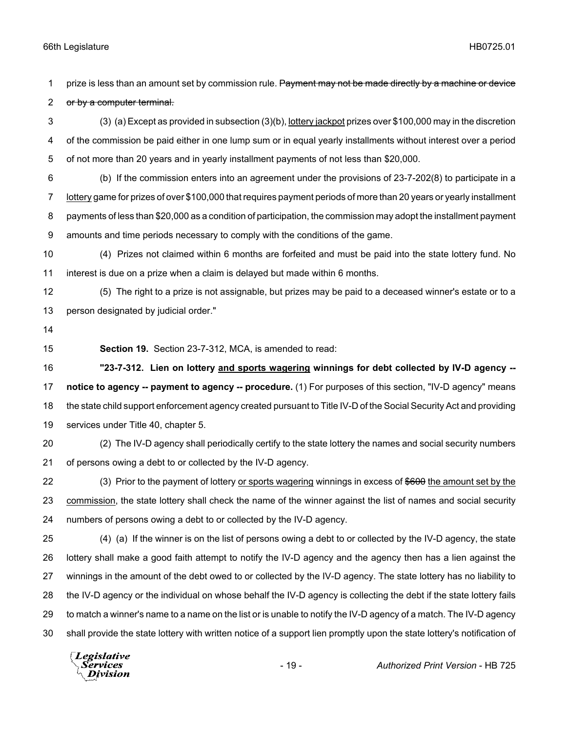1 prize is less than an amount set by commission rule. Payment may not be made directly by a machine or device 2 or by a computer terminal.

 (3) (a) Except as provided in subsection (3)(b), lottery jackpot prizes over \$100,000 may in the discretion of the commission be paid either in one lump sum or in equal yearly installments without interest over a period of not more than 20 years and in yearly installment payments of not less than \$20,000.

 (b) If the commission enters into an agreement under the provisions of 23-7-202(8) to participate in a lottery game for prizes of over \$100,000 that requires payment periods of more than 20 years or yearly installment payments of less than \$20,000 as a condition of participation, the commission may adopt the installment payment amounts and time periods necessary to comply with the conditions of the game.

 (4) Prizes not claimed within 6 months are forfeited and must be paid into the state lottery fund. No interest is due on a prize when a claim is delayed but made within 6 months.

 (5) The right to a prize is not assignable, but prizes may be paid to a deceased winner's estate or to a person designated by judicial order."

- 
- 

**Section 19.** Section 23-7-312, MCA, is amended to read:

 **"23-7-312. Lien on lottery and sports wagering winnings for debt collected by IV-D agency -- notice to agency -- payment to agency -- procedure.** (1) For purposes of this section, "IV-D agency" means the state child support enforcement agency created pursuant to Title IV-D of the Social Security Act and providing services under Title 40, chapter 5.

 (2) The IV-D agency shall periodically certify to the state lottery the names and social security numbers of persons owing a debt to or collected by the IV-D agency.

22 (3) Prior to the payment of lottery or sports wagering winnings in excess of \$600 the amount set by the commission, the state lottery shall check the name of the winner against the list of names and social security numbers of persons owing a debt to or collected by the IV-D agency.

 (4) (a) If the winner is on the list of persons owing a debt to or collected by the IV-D agency, the state lottery shall make a good faith attempt to notify the IV-D agency and the agency then has a lien against the winnings in the amount of the debt owed to or collected by the IV-D agency. The state lottery has no liability to the IV-D agency or the individual on whose behalf the IV-D agency is collecting the debt if the state lottery fails to match a winner's name to a name on the list or is unable to notify the IV-D agency of a match. The IV-D agency shall provide the state lottery with written notice of a support lien promptly upon the state lottery's notification of

**Legislative** *Services* **Division**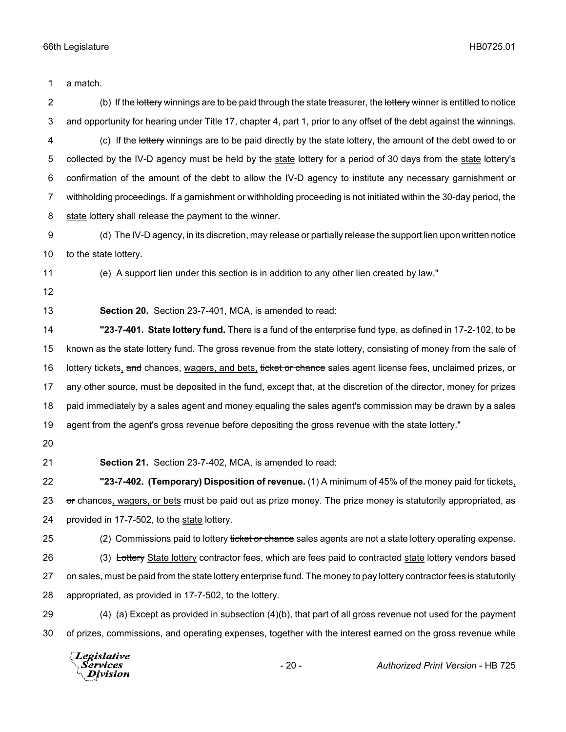a match.

2 (b) If the lottery winnings are to be paid through the state treasurer, the lottery winner is entitled to notice and opportunity for hearing under Title 17, chapter 4, part 1, prior to any offset of the debt against the winnings. 4 (c) If the lottery winnings are to be paid directly by the state lottery, the amount of the debt owed to or collected by the IV-D agency must be held by the state lottery for a period of 30 days from the state lottery's confirmation of the amount of the debt to allow the IV-D agency to institute any necessary garnishment or withholding proceedings. If a garnishment or withholding proceeding is not initiated within the 30-day period, the state lottery shall release the payment to the winner. (d) The IV-D agency, in its discretion, may release or partially release the support lien upon written notice to the state lottery.

(e) A support lien under this section is in addition to any other lien created by law."

**Section 20.** Section 23-7-401, MCA, is amended to read:

 **"23-7-401. State lottery fund.** There is a fund of the enterprise fund type, as defined in 17-2-102, to be known as the state lottery fund. The gross revenue from the state lottery, consisting of money from the sale of 16 lottery tickets, and chances, wagers, and bets, ticket or chance sales agent license fees, unclaimed prizes, or any other source, must be deposited in the fund, except that, at the discretion of the director, money for prizes paid immediately by a sales agent and money equaling the sales agent's commission may be drawn by a sales agent from the agent's gross revenue before depositing the gross revenue with the state lottery."

- 
- 

**Section 21.** Section 23-7-402, MCA, is amended to read:

 **"23-7-402. (Temporary) Disposition of revenue.** (1) A minimum of 45% of the money paid for tickets, 23 or chances, wagers, or bets must be paid out as prize money. The prize money is statutorily appropriated, as provided in 17-7-502, to the state lottery.

25 (2) Commissions paid to lottery ticket or chance sales agents are not a state lottery operating expense.

26 (3) Lottery State lottery contractor fees, which are fees paid to contracted state lottery vendors based on sales, must be paid from the state lottery enterprise fund. The money to pay lottery contractor fees is statutorily appropriated, as provided in 17-7-502, to the lottery.

 (4) (a) Except as provided in subsection (4)(b), that part of all gross revenue not used for the payment of prizes, commissions, and operating expenses, together with the interest earned on the gross revenue while

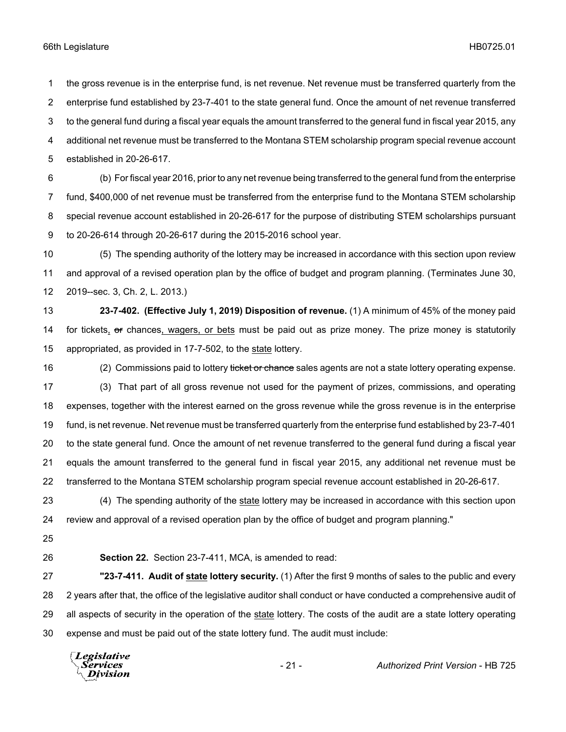the gross revenue is in the enterprise fund, is net revenue. Net revenue must be transferred quarterly from the enterprise fund established by 23-7-401 to the state general fund. Once the amount of net revenue transferred to the general fund during a fiscal year equals the amount transferred to the general fund in fiscal year 2015, any additional net revenue must be transferred to the Montana STEM scholarship program special revenue account established in 20-26-617.

 (b) For fiscal year 2016, prior to any net revenue being transferred to the general fund from the enterprise fund, \$400,000 of net revenue must be transferred from the enterprise fund to the Montana STEM scholarship special revenue account established in 20-26-617 for the purpose of distributing STEM scholarships pursuant to 20-26-614 through 20-26-617 during the 2015-2016 school year.

 (5) The spending authority of the lottery may be increased in accordance with this section upon review and approval of a revised operation plan by the office of budget and program planning. (Terminates June 30, 2019--sec. 3, Ch. 2, L. 2013.)

 **23-7-402. (Effective July 1, 2019) Disposition of revenue.** (1) A minimum of 45% of the money paid 14 for tickets, or chances, wagers, or bets must be paid out as prize money. The prize money is statutorily appropriated, as provided in 17-7-502, to the state lottery.

16 (2) Commissions paid to lottery ticket or chance sales agents are not a state lottery operating expense. (3) That part of all gross revenue not used for the payment of prizes, commissions, and operating expenses, together with the interest earned on the gross revenue while the gross revenue is in the enterprise fund, is net revenue. Net revenue must be transferred quarterly from the enterprise fund established by 23-7-401 to the state general fund. Once the amount of net revenue transferred to the general fund during a fiscal year equals the amount transferred to the general fund in fiscal year 2015, any additional net revenue must be transferred to the Montana STEM scholarship program special revenue account established in 20-26-617.

 (4) The spending authority of the state lottery may be increased in accordance with this section upon review and approval of a revised operation plan by the office of budget and program planning."

**Section 22.** Section 23-7-411, MCA, is amended to read:

 **"23-7-411. Audit of state lottery security.** (1) After the first 9 months of sales to the public and every 2 years after that, the office of the legislative auditor shall conduct or have conducted a comprehensive audit of all aspects of security in the operation of the state lottery. The costs of the audit are a state lottery operating expense and must be paid out of the state lottery fund. The audit must include:

**Legislative** *Services* **Division**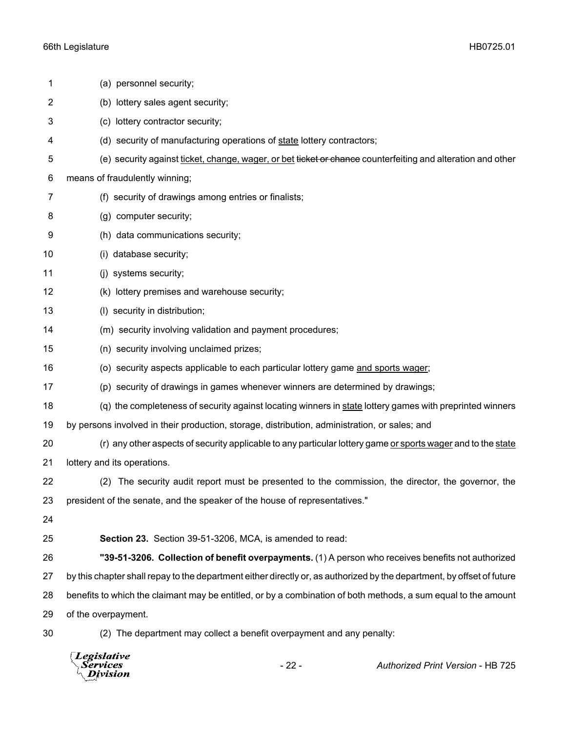| 1              | (a) personnel security;                                                                                                |
|----------------|------------------------------------------------------------------------------------------------------------------------|
| $\overline{c}$ | (b) lottery sales agent security;                                                                                      |
| 3              | (c) lottery contractor security;                                                                                       |
| 4              | (d) security of manufacturing operations of state lottery contractors;                                                 |
| 5              | (e) security against ticket, change, wager, or bet ticket or chance counterfeiting and alteration and other            |
| 6              | means of fraudulently winning;                                                                                         |
| 7              | (f) security of drawings among entries or finalists;                                                                   |
| 8              | (g) computer security;                                                                                                 |
| 9              | (h) data communications security;                                                                                      |
| 10             | (i) database security;                                                                                                 |
| 11             | (j) systems security;                                                                                                  |
| 12             | (k) lottery premises and warehouse security;                                                                           |
| 13             | (I) security in distribution;                                                                                          |
| 14             | (m) security involving validation and payment procedures;                                                              |
| 15             | (n) security involving unclaimed prizes;                                                                               |
| 16             | (o) security aspects applicable to each particular lottery game and sports wager;                                      |
| 17             | (p) security of drawings in games whenever winners are determined by drawings;                                         |
| 18             | (q) the completeness of security against locating winners in state lottery games with preprinted winners               |
| 19             | by persons involved in their production, storage, distribution, administration, or sales; and                          |
| 20             | (r) any other aspects of security applicable to any particular lottery game or sports wager and to the state           |
| 21             | lottery and its operations.                                                                                            |
| 22             | (2) The security audit report must be presented to the commission, the director, the governor, the                     |
| 23             | president of the senate, and the speaker of the house of representatives."                                             |
| 24             |                                                                                                                        |
| 25             | Section 23. Section 39-51-3206, MCA, is amended to read:                                                               |
| 26             | "39-51-3206. Collection of benefit overpayments. (1) A person who receives benefits not authorized                     |
| 27             | by this chapter shall repay to the department either directly or, as authorized by the department, by offset of future |
| 28             | benefits to which the claimant may be entitled, or by a combination of both methods, a sum equal to the amount         |
| 29             | of the overpayment.                                                                                                    |
| 30             | (2) The department may collect a benefit overpayment and any penalty:                                                  |

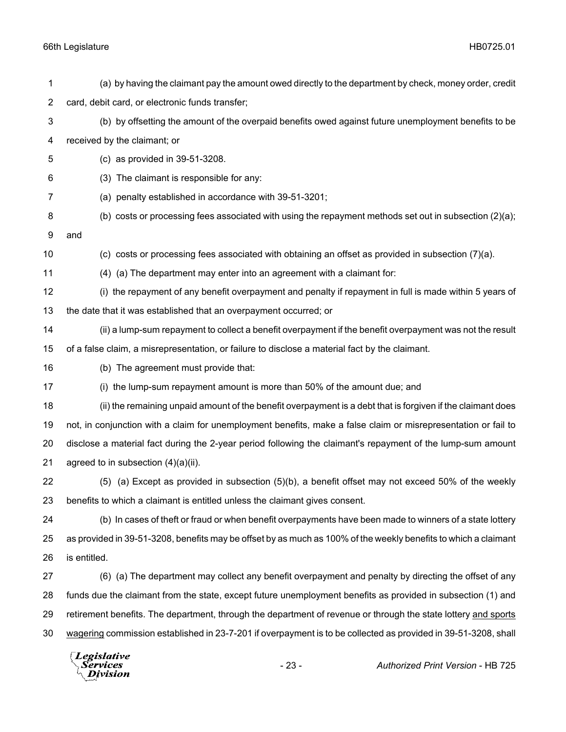| $\mathbf 1$    | (a) by having the claimant pay the amount owed directly to the department by check, money order, credit         |
|----------------|-----------------------------------------------------------------------------------------------------------------|
| $\overline{2}$ | card, debit card, or electronic funds transfer;                                                                 |
| 3              | (b) by offsetting the amount of the overpaid benefits owed against future unemployment benefits to be           |
| 4              | received by the claimant; or                                                                                    |
| 5              | (c) as provided in 39-51-3208.                                                                                  |
| 6              | (3) The claimant is responsible for any:                                                                        |
| $\overline{7}$ | (a) penalty established in accordance with 39-51-3201;                                                          |
| 8              | (b) costs or processing fees associated with using the repayment methods set out in subsection (2)(a);          |
| 9              | and                                                                                                             |
| 10             | (c) costs or processing fees associated with obtaining an offset as provided in subsection (7)(a).              |
| 11             | (4) (a) The department may enter into an agreement with a claimant for:                                         |
| 12             | (i) the repayment of any benefit overpayment and penalty if repayment in full is made within 5 years of         |
| 13             | the date that it was established that an overpayment occurred; or                                               |
| 14             | (ii) a lump-sum repayment to collect a benefit overpayment if the benefit overpayment was not the result        |
| 15             | of a false claim, a misrepresentation, or failure to disclose a material fact by the claimant.                  |
| 16             | (b) The agreement must provide that:                                                                            |
| 17             | (i) the lump-sum repayment amount is more than 50% of the amount due; and                                       |
| 18             | (ii) the remaining unpaid amount of the benefit overpayment is a debt that is forgiven if the claimant does     |
| 19             | not, in conjunction with a claim for unemployment benefits, make a false claim or misrepresentation or fail to  |
| 20             | disclose a material fact during the 2-year period following the claimant's repayment of the lump-sum amount     |
| 21             | agreed to in subsection (4)(a)(ii).                                                                             |
| 22             | (5) (a) Except as provided in subsection (5)(b), a benefit offset may not exceed 50% of the weekly              |
| 23             | benefits to which a claimant is entitled unless the claimant gives consent.                                     |
| 24             | (b) In cases of theft or fraud or when benefit overpayments have been made to winners of a state lottery        |
| 25             | as provided in 39-51-3208, benefits may be offset by as much as 100% of the weekly benefits to which a claimant |
| 26             | is entitled.                                                                                                    |
| 27             | (6) (a) The department may collect any benefit overpayment and penalty by directing the offset of any           |
| 28             | funds due the claimant from the state, except future unemployment benefits as provided in subsection (1) and    |
| 29             | retirement benefits. The department, through the department of revenue or through the state lottery and sports  |
| 30             | wagering commission established in 23-7-201 if overpayment is to be collected as provided in 39-51-3208, shall  |
|                | <i>Legislative</i>                                                                                              |

Services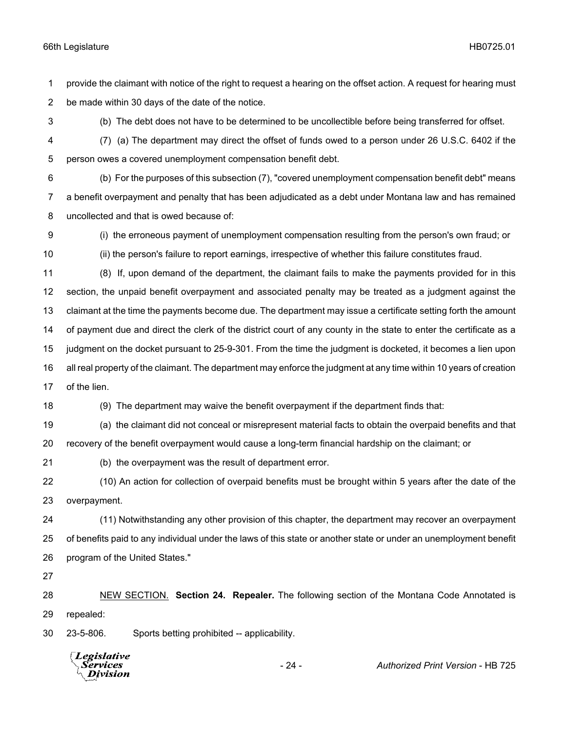provide the claimant with notice of the right to request a hearing on the offset action. A request for hearing must be made within 30 days of the date of the notice.

(b) The debt does not have to be determined to be uncollectible before being transferred for offset.

 (7) (a) The department may direct the offset of funds owed to a person under 26 U.S.C. 6402 if the person owes a covered unemployment compensation benefit debt.

 (b) For the purposes of this subsection (7), "covered unemployment compensation benefit debt" means a benefit overpayment and penalty that has been adjudicated as a debt under Montana law and has remained uncollected and that is owed because of:

 (i) the erroneous payment of unemployment compensation resulting from the person's own fraud; or (ii) the person's failure to report earnings, irrespective of whether this failure constitutes fraud.

 (8) If, upon demand of the department, the claimant fails to make the payments provided for in this section, the unpaid benefit overpayment and associated penalty may be treated as a judgment against the claimant at the time the payments become due. The department may issue a certificate setting forth the amount of payment due and direct the clerk of the district court of any county in the state to enter the certificate as a judgment on the docket pursuant to 25-9-301. From the time the judgment is docketed, it becomes a lien upon all real property of the claimant. The department may enforce the judgment at any time within 10 years of creation of the lien.

(9) The department may waive the benefit overpayment if the department finds that:

(a) the claimant did not conceal or misrepresent material facts to obtain the overpaid benefits and that

recovery of the benefit overpayment would cause a long-term financial hardship on the claimant; or

(b) the overpayment was the result of department error.

 (10) An action for collection of overpaid benefits must be brought within 5 years after the date of the overpayment.

 (11) Notwithstanding any other provision of this chapter, the department may recover an overpayment of benefits paid to any individual under the laws of this state or another state or under an unemployment benefit program of the United States."

 NEW SECTION. **Section 24. Repealer.** The following section of the Montana Code Annotated is repealed:

23-5-806. Sports betting prohibited -- applicability.



- 24 - *Authorized Print Version* - HB 725